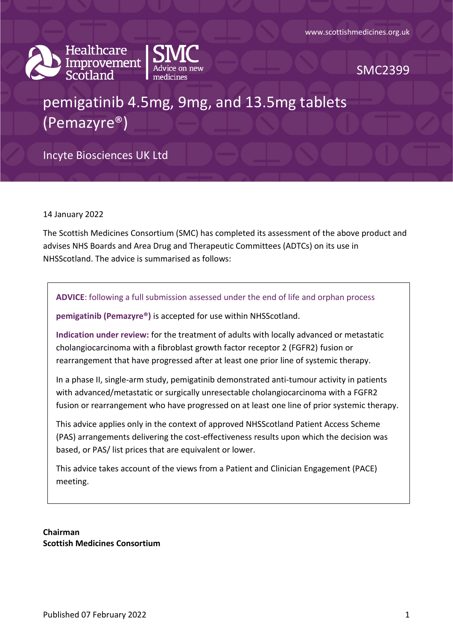



SMC2399

# pemigatinib 4.5mg, 9mg, and 13.5mg tablets (Pemazyre®)

Incyte Biosciences UK Ltd

14 January 2022

The Scottish Medicines Consortium (SMC) has completed its assessment of the above product and advises NHS Boards and Area Drug and Therapeutic Committees (ADTCs) on its use in NHSScotland. The advice is summarised as follows:

**ADVICE**: following a full submission assessed under the end of life and orphan process

**pemigatinib (Pemazyre®)** is accepted for use within NHSScotland.

**Indication under review:** for the treatment of adults with locally advanced or metastatic cholangiocarcinoma with a fibroblast growth factor receptor 2 (FGFR2) fusion or rearrangement that have progressed after at least one prior line of systemic therapy.

In a phase II, single-arm study, pemigatinib demonstrated anti-tumour activity in patients with advanced/metastatic or surgically unresectable cholangiocarcinoma with a FGFR2 fusion or rearrangement who have progressed on at least one line of prior systemic therapy.

This advice applies only in the context of approved NHSScotland Patient Access Scheme (PAS) arrangements delivering the cost-effectiveness results upon which the decision was based, or PAS/ list prices that are equivalent or lower.

This advice takes account of the views from a Patient and Clinician Engagement (PACE) meeting.

**Chairman Scottish Medicines Consortium**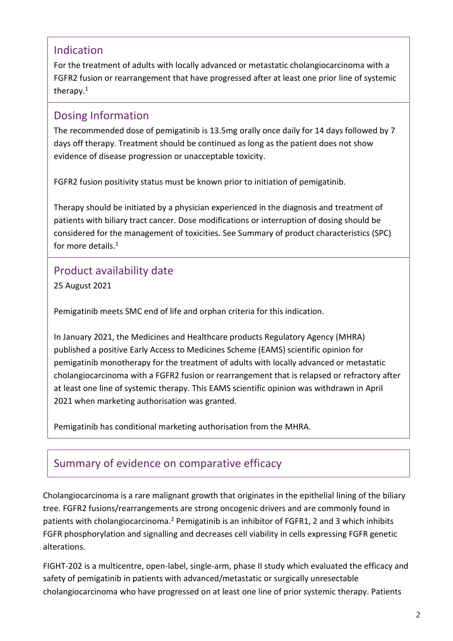### Indication

For the treatment of adults with locally advanced or metastatic cholangiocarcinoma with a FGFR2 fusion or rearrangement that have progressed after at least one prior line of systemic therapy.<sup>1</sup>

### Dosing Information

The recommended dose of pemigatinib is 13.5mg orally once daily for 14 days followed by 7 days off therapy. Treatment should be continued as long as the patient does not show evidence of disease progression or unacceptable toxicity.

FGFR2 fusion positivity status must be known prior to initiation of pemigatinib.

Therapy should be initiated by a physician experienced in the diagnosis and treatment of patients with biliary tract cancer. Dose modifications or interruption of dosing should be considered for the management of toxicities. See Summary of product characteristics (SPC) for more details.<sup>1</sup>

## Product availability date

25 August 2021

Pemigatinib meets SMC end of life and orphan criteria for this indication.

In January 2021, the Medicines and Healthcare products Regulatory Agency (MHRA) published a positive Early Access to Medicines Scheme (EAMS) scientific opinion for pemigatinib monotherapy for the treatment of adults with locally advanced or metastatic cholangiocarcinoma with a FGFR2 fusion or rearrangement that is relapsed or refractory after at least one line of systemic therapy. This EAMS scientific opinion was withdrawn in April 2021 when marketing authorisation was granted.

Pemigatinib has conditional marketing authorisation from the MHRA.

# Summary of evidence on comparative efficacy

Cholangiocarcinoma is a rare malignant growth that originates in the epithelial lining of the biliary tree. FGFR2 fusions/rearrangements are strong oncogenic drivers and are commonly found in patients with cholangiocarcinoma.<sup>2</sup> Pemigatinib is an inhibitor of FGFR1, 2 and 3 which inhibits FGFR phosphorylation and signalling and decreases cell viability in cells expressing FGFR genetic alterations.

FIGHT-202 is a multicentre, open-label, single-arm, phase II study which evaluated the efficacy and safety of pemigatinib in patients with advanced/metastatic or surgically unresectable cholangiocarcinoma who have progressed on at least one line of prior systemic therapy. Patients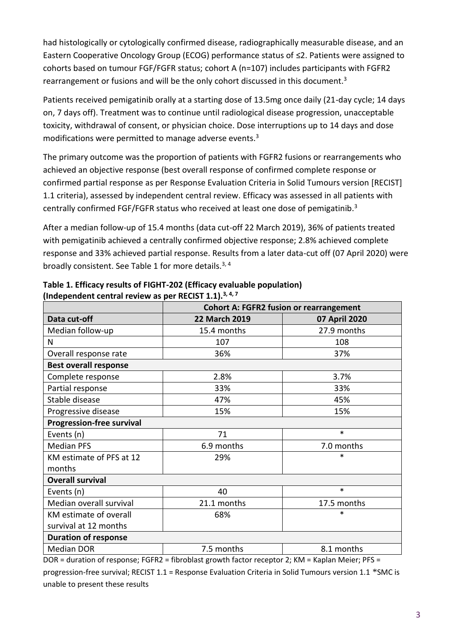had histologically or cytologically confirmed disease, radiographically measurable disease, and an Eastern Cooperative Oncology Group (ECOG) performance status of ≤2. Patients were assigned to cohorts based on tumour FGF/FGFR status; cohort A (n=107) includes participants with FGFR2 rearrangement or fusions and will be the only cohort discussed in this document.<sup>3</sup>

Patients received pemigatinib orally at a starting dose of 13.5mg once daily (21-day cycle; 14 days on, 7 days off). Treatment was to continue until radiological disease progression, unacceptable toxicity, withdrawal of consent, or physician choice. Dose interruptions up to 14 days and dose modifications were permitted to manage adverse events. $3$ 

The primary outcome was the proportion of patients with FGFR2 fusions or rearrangements who achieved an objective response (best overall response of confirmed complete response or confirmed partial response as per Response Evaluation Criteria in Solid Tumours version [RECIST] 1.1 criteria), assessed by independent central review. Efficacy was assessed in all patients with centrally confirmed FGF/FGFR status who received at least one dose of pemigatinib.<sup>3</sup>

After a median follow-up of 15.4 months (data cut-off 22 March 2019), 36% of patients treated with pemigatinib achieved a centrally confirmed objective response; 2.8% achieved complete response and 33% achieved partial response. Results from a later data-cut off (07 April 2020) were broadly consistent. See Table 1 for more details.<sup>3, 4</sup>

|                                  | <b>Cohort A: FGFR2 fusion or rearrangement</b> |               |  |  |  |
|----------------------------------|------------------------------------------------|---------------|--|--|--|
| Data cut-off                     | <b>22 March 2019</b>                           | 07 April 2020 |  |  |  |
| Median follow-up                 | 15.4 months                                    | 27.9 months   |  |  |  |
| N                                | 107                                            | 108           |  |  |  |
| Overall response rate            | 36%                                            | 37%           |  |  |  |
| <b>Best overall response</b>     |                                                |               |  |  |  |
| Complete response                | 2.8%                                           | 3.7%          |  |  |  |
| Partial response                 | 33%                                            | 33%           |  |  |  |
| Stable disease                   | 47%                                            | 45%           |  |  |  |
| Progressive disease              | 15%                                            | 15%           |  |  |  |
| <b>Progression-free survival</b> |                                                |               |  |  |  |
| Events (n)                       | 71                                             | $\ast$        |  |  |  |
| <b>Median PFS</b>                | 6.9 months                                     | 7.0 months    |  |  |  |
| KM estimate of PFS at 12         | 29%                                            | *             |  |  |  |
| months                           |                                                |               |  |  |  |
| <b>Overall survival</b>          |                                                |               |  |  |  |
| Events (n)                       | 40                                             | $\ast$        |  |  |  |
| Median overall survival          | 21.1 months                                    | 17.5 months   |  |  |  |
| KM estimate of overall           | 68%                                            | *             |  |  |  |
| survival at 12 months            |                                                |               |  |  |  |
| <b>Duration of response</b>      |                                                |               |  |  |  |
| <b>Median DOR</b>                | 7.5 months                                     | 8.1 months    |  |  |  |

#### **Table 1. Efficacy results of FIGHT-202 (Efficacy evaluable population) (Independent central review as per RECIST 1.1).3, 4, 7**

DOR = duration of response; FGFR2 = fibroblast growth factor receptor 2; KM = Kaplan Meier; PFS =

progression-free survival; RECIST 1.1 = Response Evaluation Criteria in Solid Tumours version 1.1 \*SMC is unable to present these results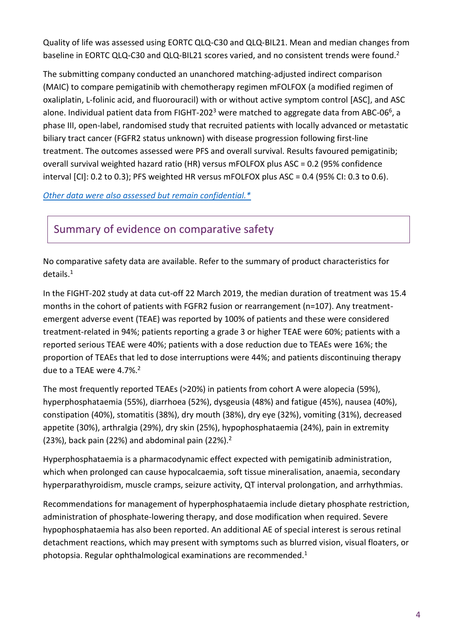Quality of life was assessed using EORTC QLQ-C30 and QLQ-BIL21. Mean and median changes from baseline in EORTC QLQ-C30 and QLQ-BIL21 scores varied, and no consistent trends were found.<sup>2</sup>

The submitting company conducted an unanchored matching-adjusted indirect comparison (MAIC) to compare pemigatinib with chemotherapy regimen mFOLFOX (a modified regimen of oxaliplatin, L-folinic acid, and fluorouracil) with or without active symptom control [ASC], and ASC alone. Individual patient data from FIGHT-202<sup>3</sup> were matched to aggregate data from ABC-06<sup>6</sup>, a phase III, open-label, randomised study that recruited patients with locally advanced or metastatic biliary tract cancer (FGFR2 status unknown) with disease progression following first-line treatment. The outcomes assessed were PFS and overall survival. Results favoured pemigatinib; overall survival weighted hazard ratio (HR) versus mFOLFOX plus ASC = 0.2 (95% confidence interval  $[C]$ : 0.2 to 0.3); PFS weighted HR versus mFOLFOX plus ASC = 0.4 (95% CI: 0.3 to 0.6).

*Other data were [also assessed but remain confidential.\\*](https://www.scottishmedicines.org.uk/media/3572/20180710-release-of-company-data.pdf)*

### Summary of evidence on comparative safety

No comparative safety data are available. Refer to the summary of product characteristics for details.<sup>1</sup>

In the FIGHT-202 study at data cut-off 22 March 2019, the median duration of treatment was 15.4 months in the cohort of patients with FGFR2 fusion or rearrangement (n=107). Any treatmentemergent adverse event (TEAE) was reported by 100% of patients and these were considered treatment-related in 94%; patients reporting a grade 3 or higher TEAE were 60%; patients with a reported serious TEAE were 40%; patients with a dose reduction due to TEAEs were 16%; the proportion of TEAEs that led to dose interruptions were 44%; and patients discontinuing therapy due to a TEAE were 4.7%.<sup>2</sup>

The most frequently reported TEAEs (>20%) in patients from cohort A were alopecia (59%), hyperphosphataemia (55%), diarrhoea (52%), dysgeusia (48%) and fatigue (45%), nausea (40%), constipation (40%), stomatitis (38%), dry mouth (38%), dry eye (32%), vomiting (31%), decreased appetite (30%), arthralgia (29%), dry skin (25%), hypophosphataemia (24%), pain in extremity (23%), back pain (22%) and abdominal pain (22%). $2$ 

Hyperphosphataemia is a pharmacodynamic effect expected with pemigatinib administration, which when prolonged can cause hypocalcaemia, soft tissue mineralisation, anaemia, secondary hyperparathyroidism, muscle cramps, seizure activity, QT interval prolongation, and arrhythmias.

Recommendations for management of hyperphosphataemia include dietary phosphate restriction, administration of phosphate-lowering therapy, and dose modification when required. Severe hypophosphataemia has also been reported. An additional AE of special interest is serous retinal detachment reactions, which may present with symptoms such as blurred vision, visual floaters, or photopsia. Regular ophthalmological examinations are recommended. $1$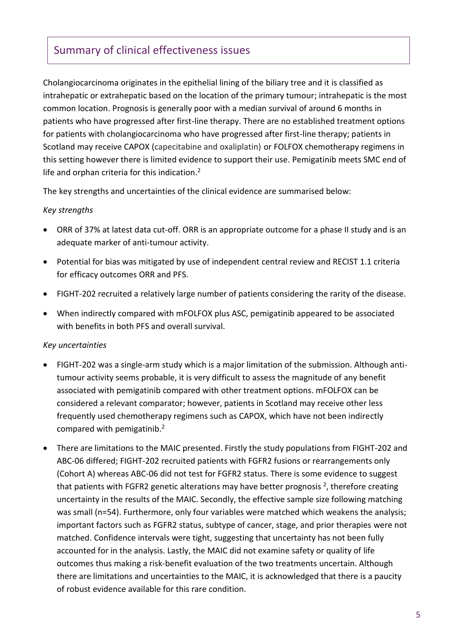## Summary of clinical effectiveness issues

Cholangiocarcinoma originates in the epithelial lining of the biliary tree and it is classified as intrahepatic or extrahepatic based on the location of the primary tumour; intrahepatic is the most common location. Prognosis is generally poor with a median survival of around 6 months in patients who have progressed after first-line therapy. There are no established treatment options for patients with cholangiocarcinoma who have progressed after first-line therapy; patients in Scotland may receive CAPOX (capecitabine and oxaliplatin) or FOLFOX chemotherapy regimens in this setting however there is limited evidence to support their use. Pemigatinib meets SMC end of life and orphan criteria for this indication.<sup>2</sup>

The key strengths and uncertainties of the clinical evidence are summarised below:

#### *Key strengths*

- ORR of 37% at latest data cut-off. ORR is an appropriate outcome for a phase II study and is an adequate marker of anti-tumour activity.
- Potential for bias was mitigated by use of independent central review and RECIST 1.1 criteria for efficacy outcomes ORR and PFS.
- FIGHT-202 recruited a relatively large number of patients considering the rarity of the disease.
- When indirectly compared with mFOLFOX plus ASC, pemigatinib appeared to be associated with benefits in both PFS and overall survival.

#### *Key uncertainties*

- FIGHT-202 was a single-arm study which is a major limitation of the submission. Although antitumour activity seems probable, it is very difficult to assess the magnitude of any benefit associated with pemigatinib compared with other treatment options. mFOLFOX can be considered a relevant comparator; however, patients in Scotland may receive other less frequently used chemotherapy regimens such as CAPOX, which have not been indirectly compared with pemigatinib.<sup>2</sup>
- There are limitations to the MAIC presented. Firstly the study populations from FIGHT-202 and ABC-06 differed; FIGHT-202 recruited patients with FGFR2 fusions or rearrangements only (Cohort A) whereas ABC-06 did not test for FGFR2 status. There is some evidence to suggest that patients with FGFR2 genetic alterations may have better prognosis  $^2$ , therefore creating uncertainty in the results of the MAIC. Secondly, the effective sample size following matching was small (n=54). Furthermore, only four variables were matched which weakens the analysis; important factors such as FGFR2 status, subtype of cancer, stage, and prior therapies were not matched. Confidence intervals were tight, suggesting that uncertainty has not been fully accounted for in the analysis. Lastly, the MAIC did not examine safety or quality of life outcomes thus making a risk-benefit evaluation of the two treatments uncertain. Although there are limitations and uncertainties to the MAIC, it is acknowledged that there is a paucity of robust evidence available for this rare condition.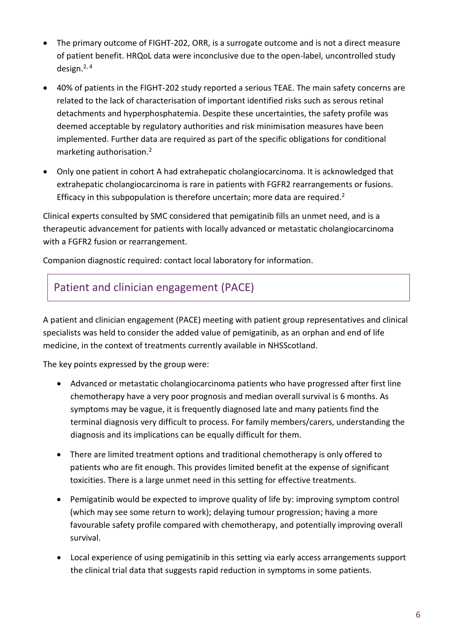- The primary outcome of FIGHT-202, ORR, is a surrogate outcome and is not a direct measure of patient benefit. HRQoL data were inconclusive due to the open-label, uncontrolled study design. $2, 4$
- 40% of patients in the FIGHT-202 study reported a serious TEAE. The main safety concerns are related to the lack of characterisation of important identified risks such as serous retinal detachments and hyperphosphatemia. Despite these uncertainties, the safety profile was deemed acceptable by regulatory authorities and risk minimisation measures have been implemented. Further data are required as part of the specific obligations for conditional marketing authorisation. 2
- Only one patient in cohort A had extrahepatic cholangiocarcinoma. It is acknowledged that extrahepatic cholangiocarcinoma is rare in patients with FGFR2 rearrangements or fusions. Efficacy in this subpopulation is therefore uncertain; more data are required.<sup>2</sup>

Clinical experts consulted by SMC considered that pemigatinib fills an unmet need, and is a therapeutic advancement for patients with locally advanced or metastatic cholangiocarcinoma with a FGFR2 fusion or rearrangement.

Companion diagnostic required: contact local laboratory for information.

### Patient and clinician engagement (PACE)

A patient and clinician engagement (PACE) meeting with patient group representatives and clinical specialists was held to consider the added value of pemigatinib, as an orphan and end of life medicine, in the context of treatments currently available in NHSScotland.

The key points expressed by the group were:

- Advanced or metastatic cholangiocarcinoma patients who have progressed after first line chemotherapy have a very poor prognosis and median overall survival is 6 months. As symptoms may be vague, it is frequently diagnosed late and many patients find the terminal diagnosis very difficult to process. For family members/carers, understanding the diagnosis and its implications can be equally difficult for them.
- There are limited treatment options and traditional chemotherapy is only offered to patients who are fit enough. This provides limited benefit at the expense of significant toxicities. There is a large unmet need in this setting for effective treatments.
- Pemigatinib would be expected to improve quality of life by: improving symptom control (which may see some return to work); delaying tumour progression; having a more favourable safety profile compared with chemotherapy, and potentially improving overall survival.
- Local experience of using pemigatinib in this setting via early access arrangements support the clinical trial data that suggests rapid reduction in symptoms in some patients.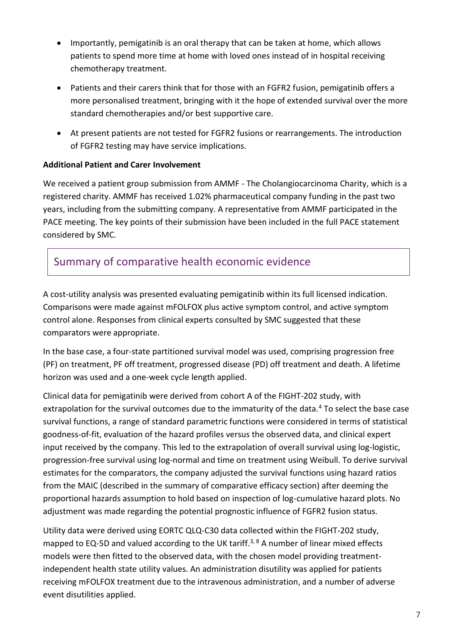- Importantly, pemigatinib is an oral therapy that can be taken at home, which allows patients to spend more time at home with loved ones instead of in hospital receiving chemotherapy treatment.
- Patients and their carers think that for those with an FGFR2 fusion, pemigatinib offers a more personalised treatment, bringing with it the hope of extended survival over the more standard chemotherapies and/or best supportive care.
- At present patients are not tested for FGFR2 fusions or rearrangements. The introduction of FGFR2 testing may have service implications.

#### **Additional Patient and Carer Involvement**

We received a patient group submission from AMMF - The Cholangiocarcinoma Charity, which is a registered charity. AMMF has received 1.02% pharmaceutical company funding in the past two years, including from the submitting company. A representative from AMMF participated in the PACE meeting. The key points of their submission have been included in the full PACE statement considered by SMC.

### Summary of comparative health economic evidence

A cost-utility analysis was presented evaluating pemigatinib within its full licensed indication. Comparisons were made against mFOLFOX plus active symptom control, and active symptom control alone. Responses from clinical experts consulted by SMC suggested that these comparators were appropriate.

In the base case, a four-state partitioned survival model was used, comprising progression free (PF) on treatment, PF off treatment, progressed disease (PD) off treatment and death. A lifetime horizon was used and a one-week cycle length applied.

Clinical data for pemigatinib were derived from cohort A of the FIGHT-202 study, with extrapolation for the survival outcomes due to the immaturity of the data.<sup>4</sup> To select the base case survival functions, a range of standard parametric functions were considered in terms of statistical goodness-of-fit, evaluation of the hazard profiles versus the observed data, and clinical expert input received by the company. This led to the extrapolation of overall survival using log-logistic, progression-free survival using log-normal and time on treatment using Weibull. To derive survival estimates for the comparators, the company adjusted the survival functions using hazard ratios from the MAIC (described in the summary of comparative efficacy section) after deeming the proportional hazards assumption to hold based on inspection of log-cumulative hazard plots. No adjustment was made regarding the potential prognostic influence of FGFR2 fusion status.

Utility data were derived using EORTC QLQ-C30 data collected within the FIGHT-202 study, mapped to EQ-5D and valued according to the UK tariff.<sup>3, 8</sup> A number of linear mixed effects models were then fitted to the observed data, with the chosen model providing treatmentindependent health state utility values. An administration disutility was applied for patients receiving mFOLFOX treatment due to the intravenous administration, and a number of adverse event disutilities applied.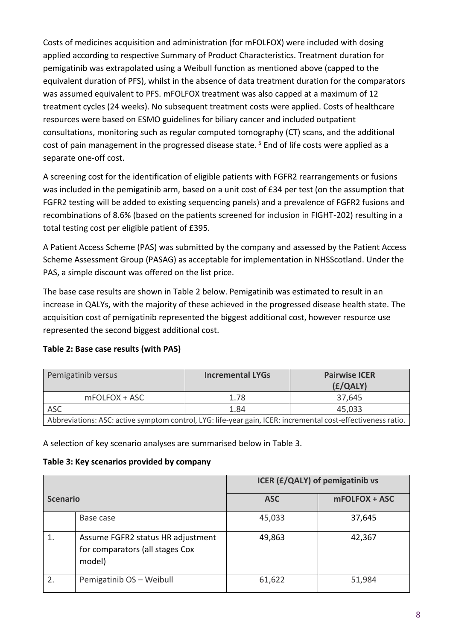Costs of medicines acquisition and administration (for mFOLFOX) were included with dosing applied according to respective Summary of Product Characteristics. Treatment duration for pemigatinib was extrapolated using a Weibull function as mentioned above (capped to the equivalent duration of PFS), whilst in the absence of data treatment duration for the comparators was assumed equivalent to PFS. mFOLFOX treatment was also capped at a maximum of 12 treatment cycles (24 weeks). No subsequent treatment costs were applied. Costs of healthcare resources were based on ESMO guidelines for biliary cancer and included outpatient consultations, monitoring such as regular computed tomography (CT) scans, and the additional cost of pain management in the progressed disease state.<sup>5</sup> End of life costs were applied as a separate one-off cost.

A screening cost for the identification of eligible patients with FGFR2 rearrangements or fusions was included in the pemigatinib arm, based on a unit cost of £34 per test (on the assumption that FGFR2 testing will be added to existing sequencing panels) and a prevalence of FGFR2 fusions and recombinations of 8.6% (based on the patients screened for inclusion in FIGHT-202) resulting in a total testing cost per eligible patient of £395.

A Patient Access Scheme (PAS) was submitted by the company and assessed by the Patient Access Scheme Assessment Group (PASAG) as acceptable for implementation in NHSScotland. Under the PAS, a simple discount was offered on the list price.

The base case results are shown in Table 2 below. Pemigatinib was estimated to result in an increase in QALYs, with the majority of these achieved in the progressed disease health state. The acquisition cost of pemigatinib represented the biggest additional cost, however resource use represented the second biggest additional cost.

#### **Table 2: Base case results (with PAS)**

| Pemigatinib versus                                                                                           | <b>Incremental LYGs</b> | <b>Pairwise ICER</b><br>(E/QALY) |
|--------------------------------------------------------------------------------------------------------------|-------------------------|----------------------------------|
| mFOLFOX + ASC                                                                                                | 1.78                    | 37,645                           |
| <b>ASC</b>                                                                                                   | 1.84                    | 45,033                           |
| Abbreviations: ASC: active symptom control, LYG: life-year gain, ICER: incremental cost-effectiveness ratio. |                         |                                  |

A selection of key scenario analyses are summarised below in Table 3.

#### **Table 3: Key scenarios provided by company**

|                 |                                                                                | ICER (£/QALY) of pemigatinib vs |               |
|-----------------|--------------------------------------------------------------------------------|---------------------------------|---------------|
| <b>Scenario</b> |                                                                                | <b>ASC</b>                      | mFOLFOX + ASC |
|                 | Base case                                                                      | 45,033                          | 37,645        |
|                 | Assume FGFR2 status HR adjustment<br>for comparators (all stages Cox<br>model) | 49,863                          | 42,367        |
| 2.              | Pemigatinib OS - Weibull                                                       | 61,622                          | 51,984        |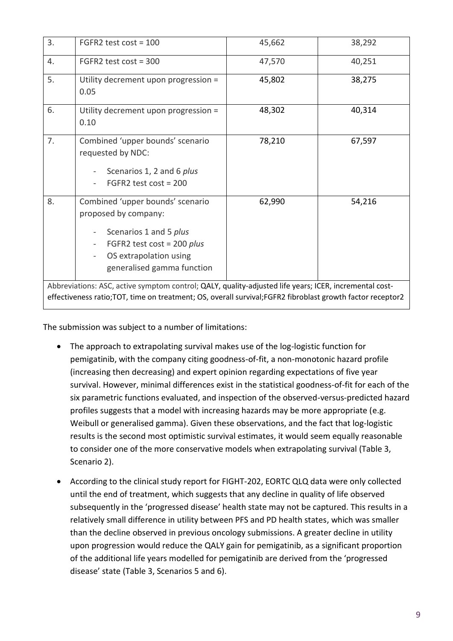| 3.                                                                                                                                                                                                                    | FGFR2 test $cost = 100$                                                                                                                                                    | 45,662 | 38,292 |  |
|-----------------------------------------------------------------------------------------------------------------------------------------------------------------------------------------------------------------------|----------------------------------------------------------------------------------------------------------------------------------------------------------------------------|--------|--------|--|
| 4.                                                                                                                                                                                                                    | FGFR2 test $cost = 300$                                                                                                                                                    | 47,570 | 40,251 |  |
| 5.                                                                                                                                                                                                                    | Utility decrement upon progression =<br>0.05                                                                                                                               | 45,802 | 38,275 |  |
| 6.                                                                                                                                                                                                                    | Utility decrement upon progression =<br>0.10                                                                                                                               | 48,302 | 40,314 |  |
| 7.                                                                                                                                                                                                                    | Combined 'upper bounds' scenario<br>requested by NDC:<br>Scenarios 1, 2 and 6 plus<br>FGFR2 test $cost = 200$                                                              | 78,210 | 67,597 |  |
| 8.                                                                                                                                                                                                                    | Combined 'upper bounds' scenario<br>proposed by company:<br>Scenarios 1 and 5 plus<br>FGFR2 test cost = 200 $plus$<br>OS extrapolation using<br>generalised gamma function | 62,990 | 54,216 |  |
| Abbreviations: ASC, active symptom control; QALY, quality-adjusted life years; ICER, incremental cost-<br>effectiveness ratio; TOT, time on treatment; OS, overall survival; FGFR2 fibroblast growth factor receptor2 |                                                                                                                                                                            |        |        |  |
|                                                                                                                                                                                                                       |                                                                                                                                                                            |        |        |  |

The submission was subject to a number of limitations:

- The approach to extrapolating survival makes use of the log-logistic function for pemigatinib, with the company citing goodness-of-fit, a non-monotonic hazard profile (increasing then decreasing) and expert opinion regarding expectations of five year survival. However, minimal differences exist in the statistical goodness-of-fit for each of the six parametric functions evaluated, and inspection of the observed-versus-predicted hazard profiles suggests that a model with increasing hazards may be more appropriate (e.g. Weibull or generalised gamma). Given these observations, and the fact that log-logistic results is the second most optimistic survival estimates, it would seem equally reasonable to consider one of the more conservative models when extrapolating survival (Table 3, Scenario 2).
- According to the clinical study report for FIGHT-202, EORTC QLQ data were only collected until the end of treatment, which suggests that any decline in quality of life observed subsequently in the 'progressed disease' health state may not be captured. This results in a relatively small difference in utility between PFS and PD health states, which was smaller than the decline observed in previous oncology submissions. A greater decline in utility upon progression would reduce the QALY gain for pemigatinib, as a significant proportion of the additional life years modelled for pemigatinib are derived from the 'progressed disease' state (Table 3, Scenarios 5 and 6).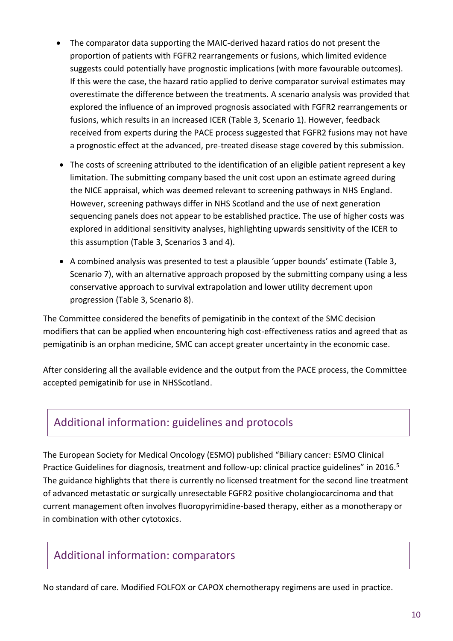- The comparator data supporting the MAIC-derived hazard ratios do not present the proportion of patients with FGFR2 rearrangements or fusions, which limited evidence suggests could potentially have prognostic implications (with more favourable outcomes). If this were the case, the hazard ratio applied to derive comparator survival estimates may overestimate the difference between the treatments. A scenario analysis was provided that explored the influence of an improved prognosis associated with FGFR2 rearrangements or fusions, which results in an increased ICER (Table 3, Scenario 1). However, feedback received from experts during the PACE process suggested that FGFR2 fusions may not have a prognostic effect at the advanced, pre-treated disease stage covered by this submission.
- The costs of screening attributed to the identification of an eligible patient represent a key limitation. The submitting company based the unit cost upon an estimate agreed during the NICE appraisal, which was deemed relevant to screening pathways in NHS England. However, screening pathways differ in NHS Scotland and the use of next generation sequencing panels does not appear to be established practice. The use of higher costs was explored in additional sensitivity analyses, highlighting upwards sensitivity of the ICER to this assumption (Table 3, Scenarios 3 and 4).
- A combined analysis was presented to test a plausible 'upper bounds' estimate (Table 3, Scenario 7), with an alternative approach proposed by the submitting company using a less conservative approach to survival extrapolation and lower utility decrement upon progression (Table 3, Scenario 8).

The Committee considered the benefits of pemigatinib in the context of the SMC decision modifiers that can be applied when encountering high cost-effectiveness ratios and agreed that as pemigatinib is an orphan medicine, SMC can accept greater uncertainty in the economic case.

After considering all the available evidence and the output from the PACE process, the Committee accepted pemigatinib for use in NHSScotland.

### Additional information: guidelines and protocols

The European Society for Medical Oncology (ESMO) published "Biliary cancer: ESMO Clinical Practice Guidelines for diagnosis, treatment and follow-up: clinical practice guidelines" in 2016.<sup>5</sup> The guidance highlights that there is currently no licensed treatment for the second line treatment of advanced metastatic or surgically unresectable FGFR2 positive cholangiocarcinoma and that current management often involves fluoropyrimidine-based therapy, either as a monotherapy or in combination with other cytotoxics.

### Additional information: comparators

No standard of care. Modified FOLFOX or CAPOX chemotherapy regimens are used in practice.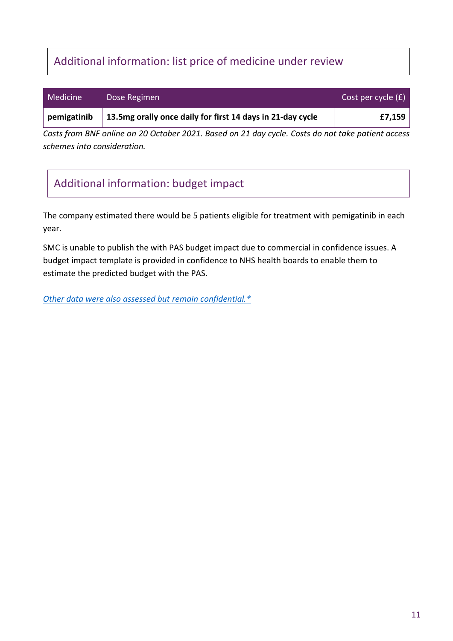# Additional information: list price of medicine under review

| Medicine    | Dose Regimen                                               | Cost per cycle (£) |
|-------------|------------------------------------------------------------|--------------------|
| pemigatinib | 13.5mg orally once daily for first 14 days in 21-day cycle | £7,159             |

*Costs from BNF online on 20 October 2021. Based on 21 day cycle. Costs do not take patient access schemes into consideration.*

# Additional information: budget impact

The company estimated there would be 5 patients eligible for treatment with pemigatinib in each year.

SMC is unable to publish the with PAS budget impact due to commercial in confidence issues. A budget impact template is provided in confidence to NHS health boards to enable them to estimate the predicted budget with the PAS.

*[Other data were also assessed but remain confidential.\\*](https://www.scottishmedicines.org.uk/media/3572/20180710-release-of-company-data.pdf)*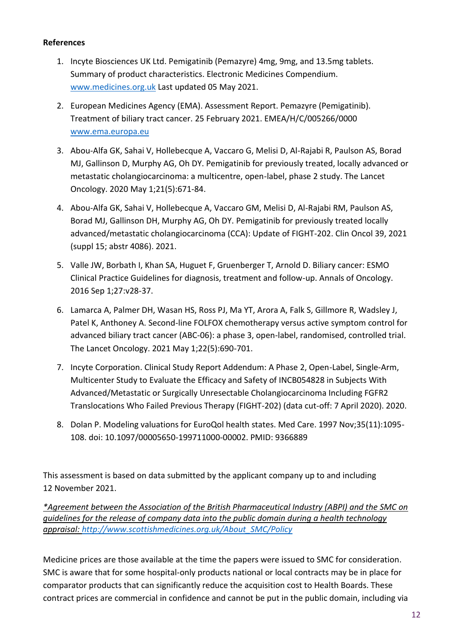#### **References**

- 1. Incyte Biosciences UK Ltd. Pemigatinib (Pemazyre) 4mg, 9mg, and 13.5mg tablets. Summary of product characteristics. Electronic Medicines Compendium. [www.medicines.org.uk](http://www.medicines.org.uk/) Last updated 05 May 2021.
- 2. European Medicines Agency (EMA). Assessment Report. Pemazyre (Pemigatinib). Treatment of biliary tract cancer. 25 February 2021. EMEA/H/C/005266/0000 [www.ema.europa.eu](http://www.ema.europa.eu/)
- 3. Abou-Alfa GK, Sahai V, Hollebecque A, Vaccaro G, Melisi D, Al-Rajabi R, Paulson AS, Borad MJ, Gallinson D, Murphy AG, Oh DY. Pemigatinib for previously treated, locally advanced or metastatic cholangiocarcinoma: a multicentre, open-label, phase 2 study. The Lancet Oncology. 2020 May 1;21(5):671-84.
- 4. Abou-Alfa GK, Sahai V, Hollebecque A, Vaccaro GM, Melisi D, Al-Rajabi RM, Paulson AS, Borad MJ, Gallinson DH, Murphy AG, Oh DY. Pemigatinib for previously treated locally advanced/metastatic cholangiocarcinoma (CCA): Update of FIGHT-202. Clin Oncol 39, 2021 (suppl 15; abstr 4086). 2021.
- 5. Valle JW, Borbath I, Khan SA, Huguet F, Gruenberger T, Arnold D. Biliary cancer: ESMO Clinical Practice Guidelines for diagnosis, treatment and follow-up. Annals of Oncology. 2016 Sep 1;27:v28-37.
- 6. Lamarca A, Palmer DH, Wasan HS, Ross PJ, Ma YT, Arora A, Falk S, Gillmore R, Wadsley J, Patel K, Anthoney A. Second-line FOLFOX chemotherapy versus active symptom control for advanced biliary tract cancer (ABC-06): a phase 3, open-label, randomised, controlled trial. The Lancet Oncology. 2021 May 1;22(5):690-701.
- 7. Incyte Corporation. Clinical Study Report Addendum: A Phase 2, Open-Label, Single-Arm, Multicenter Study to Evaluate the Efficacy and Safety of INCB054828 in Subjects With Advanced/Metastatic or Surgically Unresectable Cholangiocarcinoma Including FGFR2 Translocations Who Failed Previous Therapy (FIGHT-202) (data cut-off: 7 April 2020). 2020.
- 8. Dolan P. Modeling valuations for EuroQol health states. Med Care. 1997 Nov;35(11):1095- 108. doi: 10.1097/00005650-199711000-00002. PMID: 9366889

This assessment is based on data submitted by the applicant company up to and including 12 November 2021.

*\*Agreement between the Association of the British Pharmaceutical Industry (ABPI) and the SMC on guidelines for the release of company data into the public domain during a health technology appraisal: [http://www.scottishmedicines.org.uk/About\\_SMC/Policy](http://www.scottishmedicines.org.uk/About_SMC/Policy)*

Medicine prices are those available at the time the papers were issued to SMC for consideration. SMC is aware that for some hospital-only products national or local contracts may be in place for comparator products that can significantly reduce the acquisition cost to Health Boards. These contract prices are commercial in confidence and cannot be put in the public domain, including via